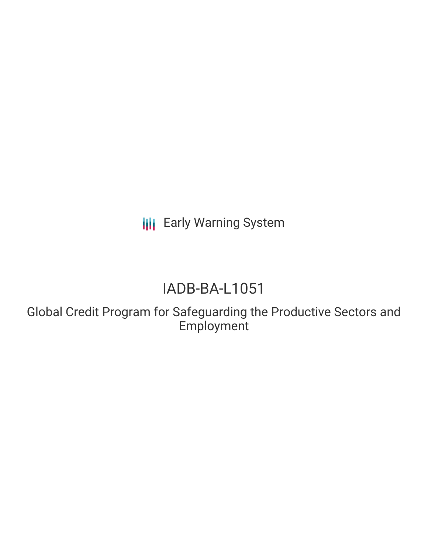**III** Early Warning System

# IADB-BA-L1051

Global Credit Program for Safeguarding the Productive Sectors and Employment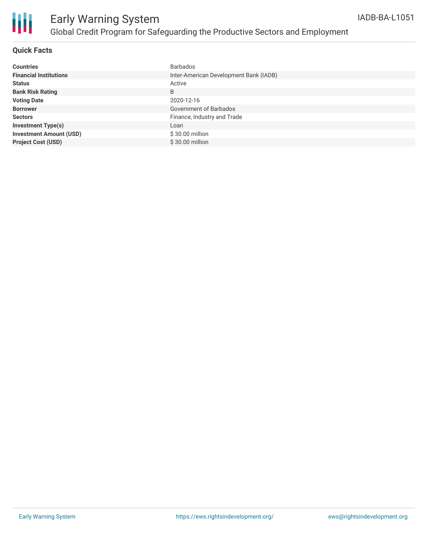

# Early Warning System Global Credit Program for Safeguarding the Productive Sectors and Employment

### **Quick Facts**

| <b>Countries</b>               | <b>Barbados</b>                        |
|--------------------------------|----------------------------------------|
| <b>Financial Institutions</b>  | Inter-American Development Bank (IADB) |
| <b>Status</b>                  | Active                                 |
| <b>Bank Risk Rating</b>        | B                                      |
| <b>Voting Date</b>             | 2020-12-16                             |
| <b>Borrower</b>                | Government of Barbados                 |
| <b>Sectors</b>                 | Finance, Industry and Trade            |
| <b>Investment Type(s)</b>      | Loan                                   |
| <b>Investment Amount (USD)</b> | $$30.00$ million                       |
| <b>Project Cost (USD)</b>      | \$30.00 million                        |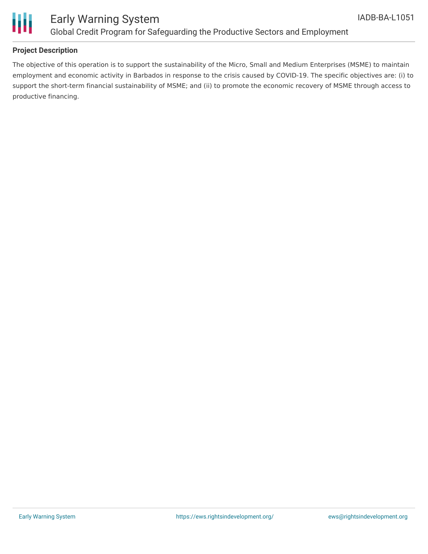

## Early Warning System Global Credit Program for Safeguarding the Productive Sectors and Employment

### **Project Description**

The objective of this operation is to support the sustainability of the Micro, Small and Medium Enterprises (MSME) to maintain employment and economic activity in Barbados in response to the crisis caused by COVID-19. The specific objectives are: (i) to support the short-term financial sustainability of MSME; and (ii) to promote the economic recovery of MSME through access to productive financing.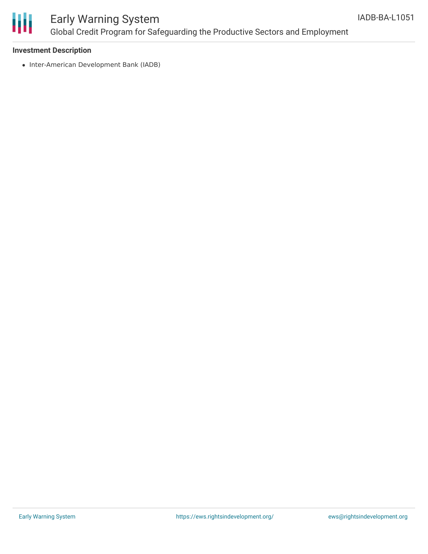

# Early Warning System Global Credit Program for Safeguarding the Productive Sectors and Employment

### **Investment Description**

• Inter-American Development Bank (IADB)